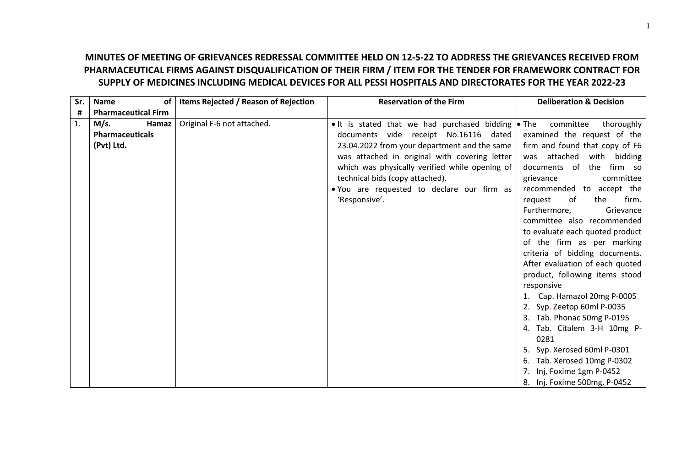## **MINUTES OF MEETING OF GRIEVANCES REDRESSAL COMMITTEE HELD ON 12-5-22 TO ADDRESS THE GRIEVANCES RECEIVED FROM PHARMACEUTICAL FIRMS AGAINST DISQUALIFICATION OF THEIR FIRM / ITEM FOR THE TENDER FOR FRAMEWORK CONTRACT FOR SUPPLY OF MEDICINES INCLUDING MEDICAL DEVICES FOR ALL PESSI HOSPITALS AND DIRECTORATES FOR THE YEAR 2022-23**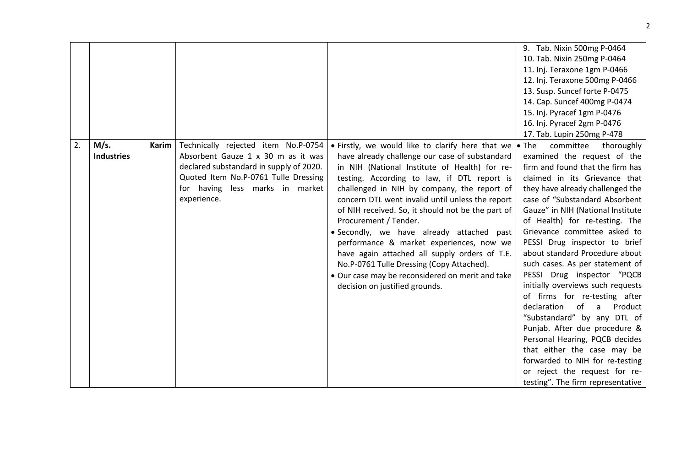|    |                                    |                                                                                                                                                                                                                |                                                                                                                                                                                                                                                                                                                                                                                                                                                                                                                                                                                                                                                                                | 9. Tab. Nixin 500mg P-0464                                                                                                                                                                                                                                                                                                                                                                                                                                                                                                                                                                                                                                                                                                                                   |
|----|------------------------------------|----------------------------------------------------------------------------------------------------------------------------------------------------------------------------------------------------------------|--------------------------------------------------------------------------------------------------------------------------------------------------------------------------------------------------------------------------------------------------------------------------------------------------------------------------------------------------------------------------------------------------------------------------------------------------------------------------------------------------------------------------------------------------------------------------------------------------------------------------------------------------------------------------------|--------------------------------------------------------------------------------------------------------------------------------------------------------------------------------------------------------------------------------------------------------------------------------------------------------------------------------------------------------------------------------------------------------------------------------------------------------------------------------------------------------------------------------------------------------------------------------------------------------------------------------------------------------------------------------------------------------------------------------------------------------------|
|    |                                    |                                                                                                                                                                                                                |                                                                                                                                                                                                                                                                                                                                                                                                                                                                                                                                                                                                                                                                                | 10. Tab. Nixin 250mg P-0464                                                                                                                                                                                                                                                                                                                                                                                                                                                                                                                                                                                                                                                                                                                                  |
|    |                                    |                                                                                                                                                                                                                |                                                                                                                                                                                                                                                                                                                                                                                                                                                                                                                                                                                                                                                                                | 11. Inj. Teraxone 1gm P-0466                                                                                                                                                                                                                                                                                                                                                                                                                                                                                                                                                                                                                                                                                                                                 |
|    |                                    |                                                                                                                                                                                                                |                                                                                                                                                                                                                                                                                                                                                                                                                                                                                                                                                                                                                                                                                | 12. Inj. Teraxone 500mg P-0466                                                                                                                                                                                                                                                                                                                                                                                                                                                                                                                                                                                                                                                                                                                               |
|    |                                    |                                                                                                                                                                                                                |                                                                                                                                                                                                                                                                                                                                                                                                                                                                                                                                                                                                                                                                                | 13. Susp. Suncef forte P-0475                                                                                                                                                                                                                                                                                                                                                                                                                                                                                                                                                                                                                                                                                                                                |
|    |                                    |                                                                                                                                                                                                                |                                                                                                                                                                                                                                                                                                                                                                                                                                                                                                                                                                                                                                                                                | 14. Cap. Suncef 400mg P-0474                                                                                                                                                                                                                                                                                                                                                                                                                                                                                                                                                                                                                                                                                                                                 |
|    |                                    |                                                                                                                                                                                                                |                                                                                                                                                                                                                                                                                                                                                                                                                                                                                                                                                                                                                                                                                | 15. Inj. Pyracef 1gm P-0476                                                                                                                                                                                                                                                                                                                                                                                                                                                                                                                                                                                                                                                                                                                                  |
|    |                                    |                                                                                                                                                                                                                |                                                                                                                                                                                                                                                                                                                                                                                                                                                                                                                                                                                                                                                                                | 16. Inj. Pyracef 2gm P-0476                                                                                                                                                                                                                                                                                                                                                                                                                                                                                                                                                                                                                                                                                                                                  |
|    |                                    |                                                                                                                                                                                                                |                                                                                                                                                                                                                                                                                                                                                                                                                                                                                                                                                                                                                                                                                | 17. Tab. Lupin 250mg P-478                                                                                                                                                                                                                                                                                                                                                                                                                                                                                                                                                                                                                                                                                                                                   |
| 2. | M/s.<br>Karim<br><b>Industries</b> | Technically rejected item No.P-0754<br>Absorbent Gauze 1 x 30 m as it was<br>declared substandard in supply of 2020.<br>Quoted Item No.P-0761 Tulle Dressing<br>for having less marks in market<br>experience. | • Firstly, we would like to clarify here that we $\bullet$ The<br>have already challenge our case of substandard<br>in NIH (National Institute of Health) for re-<br>testing. According to law, if DTL report is<br>challenged in NIH by company, the report of<br>concern DTL went invalid until unless the report<br>of NIH received. So, it should not be the part of<br>Procurement / Tender.<br>• Secondly, we have already attached past<br>performance & market experiences, now we<br>have again attached all supply orders of T.E.<br>No.P-0761 Tulle Dressing (Copy Attached).<br>• Our case may be reconsidered on merit and take<br>decision on justified grounds. | committee<br>thoroughly<br>examined the request of the<br>firm and found that the firm has<br>claimed in its Grievance that<br>they have already challenged the<br>case of "Substandard Absorbent<br>Gauze" in NIH (National Institute<br>of Health) for re-testing. The<br>Grievance committee asked to<br>PESSI Drug inspector to brief<br>about standard Procedure about<br>such cases. As per statement of<br>PESSI Drug inspector "PQCB<br>initially overviews such requests<br>of firms for re-testing after<br>declaration<br>of<br>Product<br>a<br>"Substandard" by any DTL of<br>Punjab. After due procedure &<br>Personal Hearing, PQCB decides<br>that either the case may be<br>forwarded to NIH for re-testing<br>or reject the request for re- |
|    |                                    |                                                                                                                                                                                                                |                                                                                                                                                                                                                                                                                                                                                                                                                                                                                                                                                                                                                                                                                | testing". The firm representative                                                                                                                                                                                                                                                                                                                                                                                                                                                                                                                                                                                                                                                                                                                            |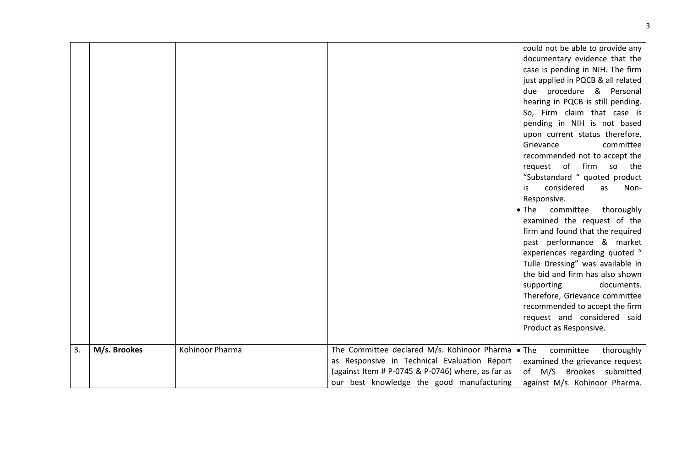|    |              |                 |                                                                                                                                                | could not be able to provide any<br>documentary evidence that the<br>case is pending in NIH. The firm<br>just applied in PQCB & all related<br>due procedure & Personal<br>hearing in PQCB is still pending.<br>So, Firm claim that case is<br>pending in NIH is not based<br>upon current status therefore,<br>Grievance<br>committee<br>recommended not to accept the<br>request of firm so the<br>"Substandard " quoted product<br>considered<br>is.<br>as<br>Non-<br>Responsive.<br>committee thoroughly<br>$\bullet$ The<br>examined the request of the<br>firm and found that the required<br>past performance & market<br>experiences regarding quoted "<br>Tulle Dressing" was available in<br>the bid and firm has also shown<br>documents.<br>supporting<br>Therefore, Grievance committee<br>recommended to accept the firm<br>request and considered said<br>Product as Responsive. |
|----|--------------|-----------------|------------------------------------------------------------------------------------------------------------------------------------------------|-------------------------------------------------------------------------------------------------------------------------------------------------------------------------------------------------------------------------------------------------------------------------------------------------------------------------------------------------------------------------------------------------------------------------------------------------------------------------------------------------------------------------------------------------------------------------------------------------------------------------------------------------------------------------------------------------------------------------------------------------------------------------------------------------------------------------------------------------------------------------------------------------|
| 3. | M/s. Brookes | Kohinoor Pharma | The Committee declared M/s. Kohinoor Pharma $\bullet$ The                                                                                      | committee<br>thoroughly                                                                                                                                                                                                                                                                                                                                                                                                                                                                                                                                                                                                                                                                                                                                                                                                                                                                         |
|    |              |                 | as Responsive in Technical Evaluation Report<br>(against Item # P-0745 & P-0746) where, as far as<br>our best knowledge the good manufacturing | examined the grievance request<br>of M/S Brookes submitted<br>against M/s. Kohinoor Pharma.                                                                                                                                                                                                                                                                                                                                                                                                                                                                                                                                                                                                                                                                                                                                                                                                     |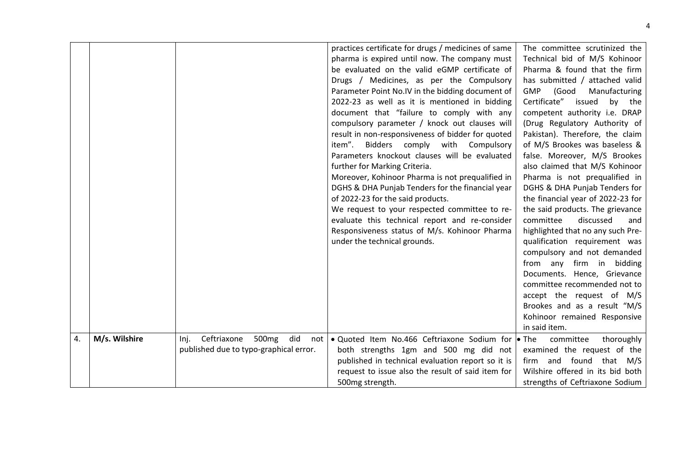|    |               |                                                        | practices certificate for drugs / medicines of same | The committee scrutinized the        |
|----|---------------|--------------------------------------------------------|-----------------------------------------------------|--------------------------------------|
|    |               |                                                        | pharma is expired until now. The company must       | Technical bid of M/S Kohinoor        |
|    |               |                                                        | be evaluated on the valid eGMP certificate of       | Pharma & found that the firm         |
|    |               |                                                        | Drugs / Medicines, as per the Compulsory            | has submitted / attached valid       |
|    |               |                                                        | Parameter Point No.IV in the bidding document of    | <b>GMP</b><br>(Good<br>Manufacturing |
|    |               |                                                        | 2022-23 as well as it is mentioned in bidding       | Certificate"<br>issued<br>by the     |
|    |               |                                                        | document that "failure to comply with any           | competent authority i.e. DRAP        |
|    |               |                                                        | compulsory parameter / knock out clauses will       | (Drug Regulatory Authority of        |
|    |               |                                                        | result in non-responsiveness of bidder for quoted   | Pakistan). Therefore, the claim      |
|    |               |                                                        | item".<br>Bidders comply<br>with<br>Compulsory      | of M/S Brookes was baseless &        |
|    |               |                                                        | Parameters knockout clauses will be evaluated       | false. Moreover, M/S Brookes         |
|    |               |                                                        | further for Marking Criteria.                       | also claimed that M/S Kohinoor       |
|    |               |                                                        | Moreover, Kohinoor Pharma is not prequalified in    | Pharma is not prequalified in        |
|    |               |                                                        | DGHS & DHA Punjab Tenders for the financial year    | DGHS & DHA Punjab Tenders for        |
|    |               |                                                        | of 2022-23 for the said products.                   | the financial year of 2022-23 for    |
|    |               |                                                        | We request to your respected committee to re-       | the said products. The grievance     |
|    |               |                                                        | evaluate this technical report and re-consider      | committee<br>discussed<br>and        |
|    |               |                                                        | Responsiveness status of M/s. Kohinoor Pharma       | highlighted that no any such Pre-    |
|    |               |                                                        | under the technical grounds.                        | qualification requirement was        |
|    |               |                                                        |                                                     | compulsory and not demanded          |
|    |               |                                                        |                                                     | from any firm in<br>bidding          |
|    |               |                                                        |                                                     | Documents. Hence, Grievance          |
|    |               |                                                        |                                                     | committee recommended not to         |
|    |               |                                                        |                                                     | accept the request of M/S            |
|    |               |                                                        |                                                     | Brookes and as a result "M/S         |
|    |               |                                                        |                                                     | Kohinoor remained Responsive         |
|    |               |                                                        |                                                     | in said item.                        |
| 4. | M/s. Wilshire | Ceftriaxone<br>500 <sub>mg</sub><br>did<br>Inj.<br>not | • Quoted Item No.466 Ceftriaxone Sodium for • The   | committee<br>thoroughly              |
|    |               | published due to typo-graphical error.                 | both strengths 1gm and 500 mg did not               | examined the request of the          |
|    |               |                                                        | published in technical evaluation report so it is   | firm and found that M/S              |
|    |               |                                                        | request to issue also the result of said item for   | Wilshire offered in its bid both     |
|    |               |                                                        | 500mg strength.                                     | strengths of Ceftriaxone Sodium      |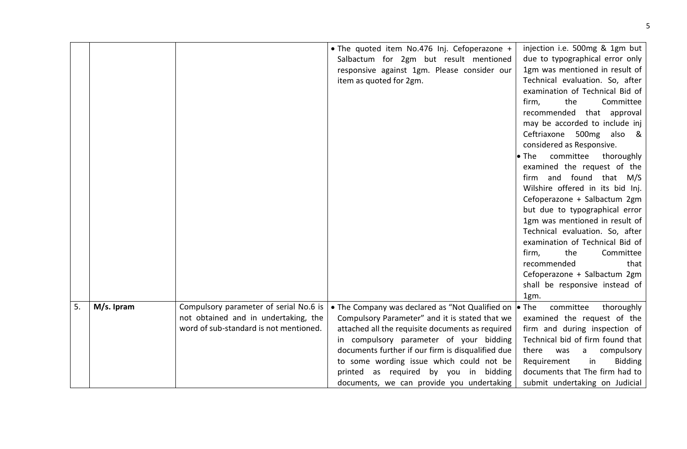|    |            |                                                                                                                          | . The quoted item No.476 Inj. Cefoperazone +<br>Salbactum for 2gm but result mentioned<br>responsive against 1gm. Please consider our<br>item as quoted for 2gm.                                                                                                                                                                                                                                      | injection i.e. 500mg & 1gm but<br>due to typographical error only<br>1gm was mentioned in result of<br>Technical evaluation. So, after<br>examination of Technical Bid of<br>Committee<br>firm,<br>the<br>recommended that approval<br>may be accorded to include inj<br>Ceftriaxone 500mg<br>also &<br>considered as Responsive.<br>$\bullet$ The<br>committee<br>thoroughly<br>examined the request of the<br>firm and found that M/S<br>Wilshire offered in its bid Inj.<br>Cefoperazone + Salbactum 2gm<br>but due to typographical error<br>1gm was mentioned in result of<br>Technical evaluation. So, after<br>examination of Technical Bid of<br>the<br>Committee<br>firm,<br>recommended<br>that<br>Cefoperazone + Salbactum 2gm<br>shall be responsive instead of<br>1gm. |
|----|------------|--------------------------------------------------------------------------------------------------------------------------|-------------------------------------------------------------------------------------------------------------------------------------------------------------------------------------------------------------------------------------------------------------------------------------------------------------------------------------------------------------------------------------------------------|-------------------------------------------------------------------------------------------------------------------------------------------------------------------------------------------------------------------------------------------------------------------------------------------------------------------------------------------------------------------------------------------------------------------------------------------------------------------------------------------------------------------------------------------------------------------------------------------------------------------------------------------------------------------------------------------------------------------------------------------------------------------------------------|
| 5. | M/s. Ipram | Compulsory parameter of serial No.6 is<br>not obtained and in undertaking, the<br>word of sub-standard is not mentioned. | • The Company was declared as "Not Qualified on $\bullet$ The<br>Compulsory Parameter" and it is stated that we<br>attached all the requisite documents as required<br>in compulsory parameter of your bidding<br>documents further if our firm is disqualified due<br>to some wording issue which could not be<br>printed as required by you in bidding<br>documents, we can provide you undertaking | committee<br>thoroughly<br>examined the request of the<br>firm and during inspection of<br>Technical bid of firm found that<br>there<br>was<br>compulsory<br>a<br>in<br>Requirement<br><b>Bidding</b><br>documents that The firm had to<br>submit undertaking on Judicial                                                                                                                                                                                                                                                                                                                                                                                                                                                                                                           |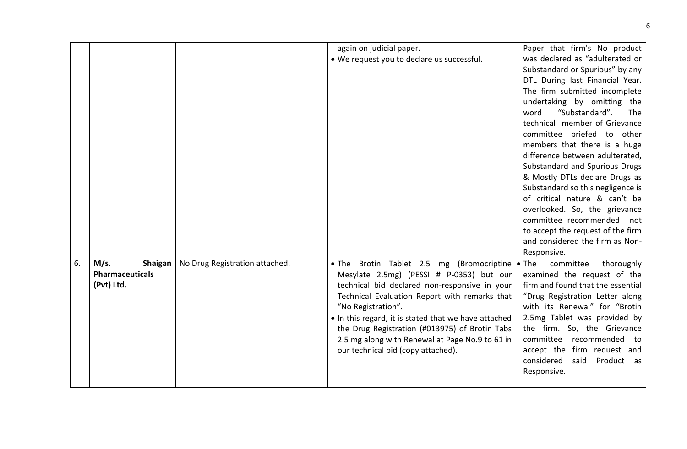|    |                                                         |                                | again on judicial paper.<br>• We request you to declare us successful.                                                                                                                                                                                                                                                                                                                                           | Paper that firm's No product<br>was declared as "adulterated or<br>Substandard or Spurious" by any<br>DTL During last Financial Year.<br>The firm submitted incomplete<br>undertaking by omitting the<br>word<br>"Substandard".<br>The<br>technical member of Grievance<br>committee briefed to other<br>members that there is a huge<br>difference between adulterated,<br>Substandard and Spurious Drugs<br>& Mostly DTLs declare Drugs as<br>Substandard so this negligence is<br>of critical nature & can't be<br>overlooked. So, the grievance<br>committee recommended<br>not<br>to accept the request of the firm |
|----|---------------------------------------------------------|--------------------------------|------------------------------------------------------------------------------------------------------------------------------------------------------------------------------------------------------------------------------------------------------------------------------------------------------------------------------------------------------------------------------------------------------------------|--------------------------------------------------------------------------------------------------------------------------------------------------------------------------------------------------------------------------------------------------------------------------------------------------------------------------------------------------------------------------------------------------------------------------------------------------------------------------------------------------------------------------------------------------------------------------------------------------------------------------|
| 6. | M/s.<br>Shaigan<br><b>Pharmaceuticals</b><br>(Pvt) Ltd. | No Drug Registration attached. | . The Brotin Tablet 2.5 mg (Bromocriptine<br>Mesylate 2.5mg) (PESSI # P-0353) but our<br>technical bid declared non-responsive in your<br>Technical Evaluation Report with remarks that<br>"No Registration".<br>• In this regard, it is stated that we have attached<br>the Drug Registration (#013975) of Brotin Tabs<br>2.5 mg along with Renewal at Page No.9 to 61 in<br>our technical bid (copy attached). | and considered the firm as Non-<br>Responsive.<br>$\bullet$ The<br>committee<br>thoroughly<br>examined the request of the<br>firm and found that the essential<br>"Drug Registration Letter along<br>with its Renewal" for "Brotin<br>2.5mg Tablet was provided by<br>the firm. So, the Grievance<br>committee recommended<br>to<br>accept the firm request and<br>considered<br>said<br>Product as<br>Responsive.                                                                                                                                                                                                       |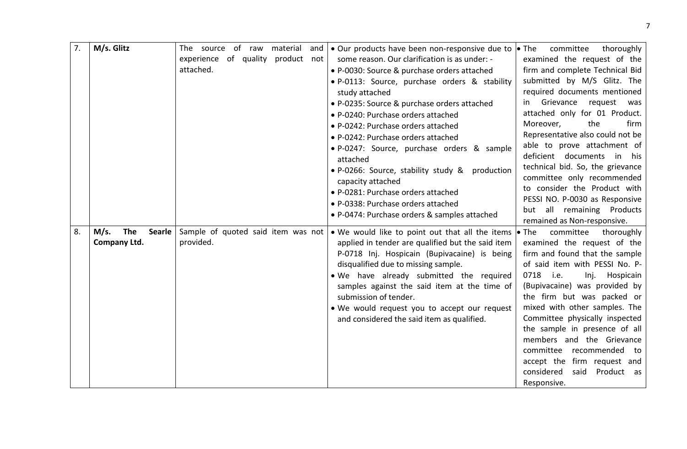| 7. | M/s. Glitz                   | The source of raw                  | material and | • Our products have been non-responsive due to $\bullet$ The                                               | committee<br>thoroughly                                |
|----|------------------------------|------------------------------------|--------------|------------------------------------------------------------------------------------------------------------|--------------------------------------------------------|
|    |                              | experience of quality              | product not  | some reason. Our clarification is as under: -                                                              | examined the request of the                            |
|    |                              | attached.                          |              | • P-0030: Source & purchase orders attached                                                                | firm and complete Technical Bid                        |
|    |                              |                                    |              | • P-0113: Source, purchase orders & stability                                                              | submitted by M/S Glitz. The                            |
|    |                              |                                    |              | study attached                                                                                             | required documents mentioned                           |
|    |                              |                                    |              | • P-0235: Source & purchase orders attached                                                                | in Grievance<br>request<br>was                         |
|    |                              |                                    |              | • P-0240: Purchase orders attached                                                                         | attached only for 01 Product.                          |
|    |                              |                                    |              | • P-0242: Purchase orders attached                                                                         | the<br>Moreover,<br>firm                               |
|    |                              |                                    |              | • P-0242: Purchase orders attached                                                                         | Representative also could not be                       |
|    |                              |                                    |              | · P-0247: Source, purchase orders & sample                                                                 | able to prove attachment of                            |
|    |                              |                                    |              | attached                                                                                                   | deficient documents in his                             |
|    |                              |                                    |              | • P-0266: Source, stability study &<br>production                                                          | technical bid. So, the grievance                       |
|    |                              |                                    |              | capacity attached                                                                                          | committee only recommended                             |
|    |                              |                                    |              | • P-0281: Purchase orders attached                                                                         | to consider the Product with                           |
|    |                              |                                    |              | • P-0338: Purchase orders attached                                                                         | PESSI NO. P-0030 as Responsive                         |
|    |                              |                                    |              | • P-0474: Purchase orders & samples attached                                                               | but all remaining Products                             |
| 8. | <b>The</b><br>M/s.<br>Searle | Sample of quoted said item was not |              |                                                                                                            | remained as Non-responsive.                            |
|    | Company Ltd.                 | provided.                          |              | • We would like to point out that all the items • The<br>applied in tender are qualified but the said item | committee<br>thoroughly<br>examined the request of the |
|    |                              |                                    |              | P-0718 Inj. Hospicain (Bupivacaine) is being                                                               | firm and found that the sample                         |
|    |                              |                                    |              | disqualified due to missing sample.                                                                        | of said item with PESSI No. P-                         |
|    |                              |                                    |              | . We have already submitted the required                                                                   | 0718 i.e.<br>Hospicain<br>Inj.                         |
|    |                              |                                    |              | samples against the said item at the time of                                                               | (Bupivacaine) was provided by                          |
|    |                              |                                    |              | submission of tender.                                                                                      | the firm but was packed or                             |
|    |                              |                                    |              | . We would request you to accept our request                                                               | mixed with other samples. The                          |
|    |                              |                                    |              | and considered the said item as qualified.                                                                 | Committee physically inspected                         |
|    |                              |                                    |              |                                                                                                            | the sample in presence of all                          |
|    |                              |                                    |              |                                                                                                            | members and the Grievance                              |
|    |                              |                                    |              |                                                                                                            | committee recommended<br>to                            |
|    |                              |                                    |              |                                                                                                            | accept the firm request and                            |
|    |                              |                                    |              |                                                                                                            | considered<br>Product as<br>said                       |
|    |                              |                                    |              |                                                                                                            | Responsive.                                            |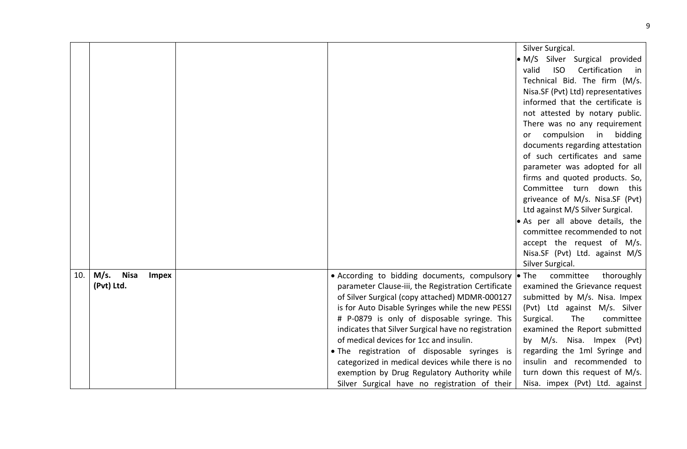|     |                                     |                                                            | Silver Surgical.                              |
|-----|-------------------------------------|------------------------------------------------------------|-----------------------------------------------|
|     |                                     |                                                            | · M/S Silver Surgical provided                |
|     |                                     |                                                            | valid<br><b>ISO</b><br>Certification<br>in in |
|     |                                     |                                                            | Technical Bid. The firm (M/s.                 |
|     |                                     |                                                            | Nisa.SF (Pvt) Ltd) representatives            |
|     |                                     |                                                            | informed that the certificate is              |
|     |                                     |                                                            | not attested by notary public.                |
|     |                                     |                                                            | There was no any requirement                  |
|     |                                     |                                                            | compulsion<br>in<br>bidding<br>or             |
|     |                                     |                                                            | documents regarding attestation               |
|     |                                     |                                                            | of such certificates and same                 |
|     |                                     |                                                            | parameter was adopted for all                 |
|     |                                     |                                                            | firms and quoted products. So,                |
|     |                                     |                                                            | Committee turn down this                      |
|     |                                     |                                                            | griveance of M/s. Nisa.SF (Pvt)               |
|     |                                     |                                                            | Ltd against M/S Silver Surgical.              |
|     |                                     |                                                            | . As per all above details, the               |
|     |                                     |                                                            | committee recommended to not                  |
|     |                                     |                                                            | accept the request of M/s.                    |
|     |                                     |                                                            | Nisa.SF (Pvt) Ltd. against M/S                |
| 10. | M/s.<br><b>Nisa</b><br><b>Impex</b> | • According to bidding documents, compulsory $\bullet$ The | Silver Surgical.<br>committee<br>thoroughly   |
|     | (Pvt) Ltd.                          | parameter Clause-iii, the Registration Certificate         | examined the Grievance request                |
|     |                                     | of Silver Surgical (copy attached) MDMR-000127             | submitted by M/s. Nisa. Impex                 |
|     |                                     | is for Auto Disable Syringes while the new PESSI           | (Pvt) Ltd against M/s. Silver                 |
|     |                                     | # P-0879 is only of disposable syringe. This               | The<br>Surgical.<br>committee                 |
|     |                                     | indicates that Silver Surgical have no registration        | examined the Report submitted                 |
|     |                                     | of medical devices for 1cc and insulin.                    | by M/s. Nisa. Impex (Pvt)                     |
|     |                                     | . The registration of disposable syringes is               | regarding the 1ml Syringe and                 |
|     |                                     | categorized in medical devices while there is no           | insulin and recommended to                    |
|     |                                     | exemption by Drug Regulatory Authority while               | turn down this request of M/s.                |
|     |                                     | Silver Surgical have no registration of their              | Nisa. impex (Pvt) Ltd. against                |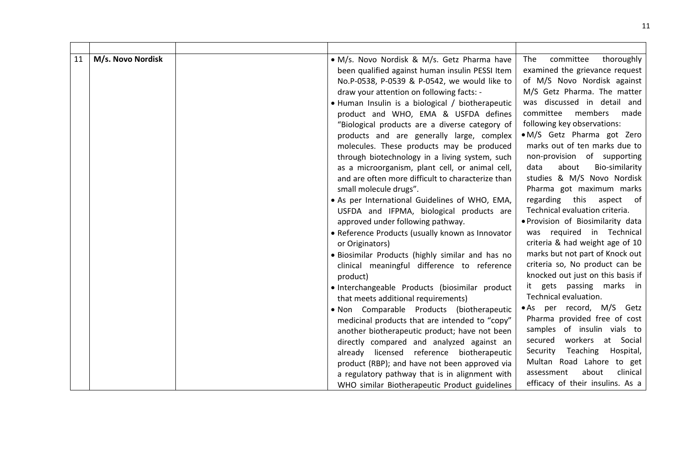| 11 | M/s. Novo Nordisk | · M/s. Novo Nordisk & M/s. Getz Pharma have<br>been qualified against human insulin PESSI Item<br>No.P-0538, P-0539 & P-0542, we would like to<br>draw your attention on following facts: -<br>• Human Insulin is a biological / biotherapeutic<br>product and WHO, EMA & USFDA defines<br>"Biological products are a diverse category of<br>products and are generally large, complex<br>molecules. These products may be produced<br>through biotechnology in a living system, such<br>as a microorganism, plant cell, or animal cell,<br>and are often more difficult to characterize than<br>small molecule drugs".<br>· As per International Guidelines of WHO, EMA,<br>USFDA and IFPMA, biological products are<br>approved under following pathway.<br>• Reference Products (usually known as Innovator<br>or Originators)<br>. Biosimilar Products (highly similar and has no<br>clinical meaningful difference to reference<br>product)<br>· Interchangeable Products (biosimilar product<br>that meets additional requirements)<br>. Non Comparable Products (biotherapeutic<br>medicinal products that are intended to "copy"<br>another biotherapeutic product; have not been<br>directly compared and analyzed against an | The<br>committee<br>thoroughly<br>examined the grievance request<br>of M/S Novo Nordisk against<br>M/S Getz Pharma. The matter<br>was discussed in detail and<br>committee<br>members<br>made<br>following key observations:<br>• M/S Getz Pharma got Zero<br>marks out of ten marks due to<br>non-provision of supporting<br>Bio-similarity<br>data<br>about<br>studies & M/S Novo Nordisk<br>Pharma got maximum marks<br>regarding this aspect of<br>Technical evaluation criteria.<br>. Provision of Biosimilarity data<br>was required in Technical<br>criteria & had weight age of 10<br>marks but not part of Knock out<br>criteria so, No product can be<br>knocked out just on this basis if<br>it gets passing marks in<br>Technical evaluation.<br>• As per record, M/S Getz<br>Pharma provided free of cost<br>samples of insulin vials to<br>workers<br>at Social<br>secured |
|----|-------------------|----------------------------------------------------------------------------------------------------------------------------------------------------------------------------------------------------------------------------------------------------------------------------------------------------------------------------------------------------------------------------------------------------------------------------------------------------------------------------------------------------------------------------------------------------------------------------------------------------------------------------------------------------------------------------------------------------------------------------------------------------------------------------------------------------------------------------------------------------------------------------------------------------------------------------------------------------------------------------------------------------------------------------------------------------------------------------------------------------------------------------------------------------------------------------------------------------------------------------------------|------------------------------------------------------------------------------------------------------------------------------------------------------------------------------------------------------------------------------------------------------------------------------------------------------------------------------------------------------------------------------------------------------------------------------------------------------------------------------------------------------------------------------------------------------------------------------------------------------------------------------------------------------------------------------------------------------------------------------------------------------------------------------------------------------------------------------------------------------------------------------------------|
|    |                   | already licensed reference biotherapeutic                                                                                                                                                                                                                                                                                                                                                                                                                                                                                                                                                                                                                                                                                                                                                                                                                                                                                                                                                                                                                                                                                                                                                                                              | Teaching<br>Hospital,<br>Security                                                                                                                                                                                                                                                                                                                                                                                                                                                                                                                                                                                                                                                                                                                                                                                                                                                        |
|    |                   | product (RBP); and have not been approved via                                                                                                                                                                                                                                                                                                                                                                                                                                                                                                                                                                                                                                                                                                                                                                                                                                                                                                                                                                                                                                                                                                                                                                                          | Multan Road Lahore to get                                                                                                                                                                                                                                                                                                                                                                                                                                                                                                                                                                                                                                                                                                                                                                                                                                                                |
|    |                   | a regulatory pathway that is in alignment with                                                                                                                                                                                                                                                                                                                                                                                                                                                                                                                                                                                                                                                                                                                                                                                                                                                                                                                                                                                                                                                                                                                                                                                         | about<br>clinical<br>assessment                                                                                                                                                                                                                                                                                                                                                                                                                                                                                                                                                                                                                                                                                                                                                                                                                                                          |
|    |                   | WHO similar Biotherapeutic Product guidelines                                                                                                                                                                                                                                                                                                                                                                                                                                                                                                                                                                                                                                                                                                                                                                                                                                                                                                                                                                                                                                                                                                                                                                                          | efficacy of their insulins. As a                                                                                                                                                                                                                                                                                                                                                                                                                                                                                                                                                                                                                                                                                                                                                                                                                                                         |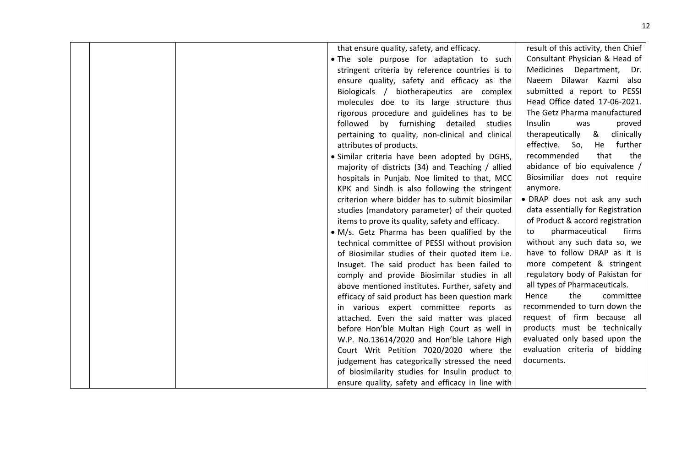|  | that ensure quality, safety, and efficacy.       | result of this activity, then Chief |
|--|--------------------------------------------------|-------------------------------------|
|  | . The sole purpose for adaptation to such        | Consultant Physician & Head of      |
|  | stringent criteria by reference countries is to  | Medicines Department, Dr.           |
|  | ensure quality, safety and efficacy as the       | Naeem Dilawar Kazmi also            |
|  | Biologicals / biotherapeutics are complex        | submitted a report to PESSI         |
|  | molecules doe to its large structure thus        | Head Office dated 17-06-2021.       |
|  | rigorous procedure and guidelines has to be      | The Getz Pharma manufactured        |
|  | followed by furnishing detailed<br>studies       | Insulin<br>proved<br>was            |
|  | pertaining to quality, non-clinical and clinical | therapeutically &<br>clinically     |
|  | attributes of products.                          | effective. So,<br>further<br>He     |
|  | · Similar criteria have been adopted by DGHS,    | recommended<br>that<br>the          |
|  | majority of districts (34) and Teaching / allied | abidance of bio equivalence /       |
|  | hospitals in Punjab. Noe limited to that, MCC    | Biosimiliar does not require        |
|  | KPK and Sindh is also following the stringent    | anymore.                            |
|  | criterion where bidder has to submit biosimilar  | · DRAP does not ask any such        |
|  | studies (mandatory parameter) of their quoted    | data essentially for Registration   |
|  | items to prove its quality, safety and efficacy. | of Product & accord registration    |
|  | • M/s. Getz Pharma has been qualified by the     | pharmaceutical<br>firms<br>to       |
|  | technical committee of PESSI without provision   | without any such data so, we        |
|  | of Biosimilar studies of their quoted item i.e.  | have to follow DRAP as it is        |
|  | Insuget. The said product has been failed to     | more competent & stringent          |
|  | comply and provide Biosimilar studies in all     | regulatory body of Pakistan for     |
|  | above mentioned institutes. Further, safety and  | all types of Pharmaceuticals.       |
|  | efficacy of said product has been question mark  | the<br>Hence<br>committee           |
|  | in various expert committee reports as           | recommended to turn down the        |
|  | attached. Even the said matter was placed        | request of firm because all         |
|  | before Hon'ble Multan High Court as well in      | products must be technically        |
|  | W.P. No.13614/2020 and Hon'ble Lahore High       | evaluated only based upon the       |
|  | Court Writ Petition 7020/2020 where the          | evaluation criteria of bidding      |
|  | judgement has categorically stressed the need    | documents.                          |
|  | of biosimilarity studies for Insulin product to  |                                     |
|  | ensure quality, safety and efficacy in line with |                                     |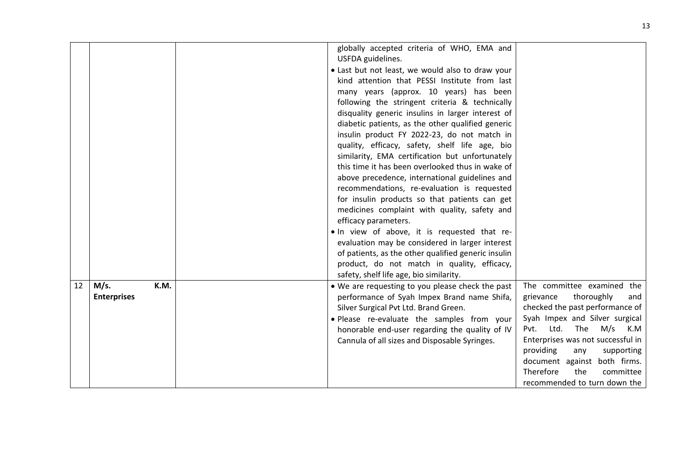|                                          | globally accepted criteria of WHO, EMA and                                                                                                                                                                                                                                                                                                                                                                                                                                                                                                                                                                                                                                                                                                                                                                                                                        |                                                                                                                                                                                                                                                                                                                                                |
|------------------------------------------|-------------------------------------------------------------------------------------------------------------------------------------------------------------------------------------------------------------------------------------------------------------------------------------------------------------------------------------------------------------------------------------------------------------------------------------------------------------------------------------------------------------------------------------------------------------------------------------------------------------------------------------------------------------------------------------------------------------------------------------------------------------------------------------------------------------------------------------------------------------------|------------------------------------------------------------------------------------------------------------------------------------------------------------------------------------------------------------------------------------------------------------------------------------------------------------------------------------------------|
|                                          | USFDA guidelines.<br>. Last but not least, we would also to draw your<br>kind attention that PESSI Institute from last<br>many years (approx. 10 years) has been<br>following the stringent criteria & technically<br>disquality generic insulins in larger interest of<br>diabetic patients, as the other qualified generic<br>insulin product FY 2022-23, do not match in<br>quality, efficacy, safety, shelf life age, bio<br>similarity, EMA certification but unfortunately<br>this time it has been overlooked thus in wake of<br>above precedence, international guidelines and<br>recommendations, re-evaluation is requested<br>for insulin products so that patients can get<br>medicines complaint with quality, safety and<br>efficacy parameters.<br>. In view of above, it is requested that re-<br>evaluation may be considered in larger interest |                                                                                                                                                                                                                                                                                                                                                |
|                                          | of patients, as the other qualified generic insulin<br>product, do not match in quality, efficacy,                                                                                                                                                                                                                                                                                                                                                                                                                                                                                                                                                                                                                                                                                                                                                                |                                                                                                                                                                                                                                                                                                                                                |
|                                          | safety, shelf life age, bio similarity.                                                                                                                                                                                                                                                                                                                                                                                                                                                                                                                                                                                                                                                                                                                                                                                                                           |                                                                                                                                                                                                                                                                                                                                                |
| M/s.<br>12<br>K.M.<br><b>Enterprises</b> | • We are requesting to you please check the past<br>performance of Syah Impex Brand name Shifa,<br>Silver Surgical Pvt Ltd. Brand Green.<br>. Please re-evaluate the samples from your<br>honorable end-user regarding the quality of IV<br>Cannula of all sizes and Disposable Syringes.                                                                                                                                                                                                                                                                                                                                                                                                                                                                                                                                                                         | The committee examined the<br>thoroughly<br>grievance<br>and<br>checked the past performance of<br>Syah Impex and Silver surgical<br>Ltd.<br>The<br>M/s<br>Pvt.<br>K.M<br>Enterprises was not successful in<br>providing<br>supporting<br>any<br>document against both firms.<br>Therefore<br>the<br>committee<br>recommended to turn down the |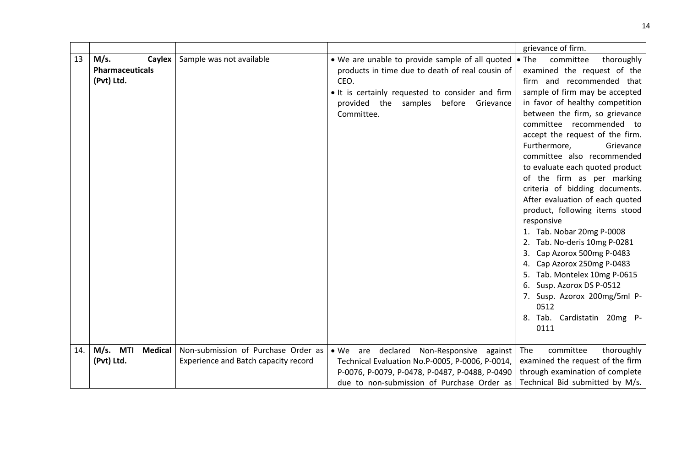|     |                                                               |                                                                             |                                                                                                                                                                                                                       | grievance of firm.                                                                                                                                                                                                                                                                                                                                                                                                                                                                                                                                                                                                                                                                                                                                                                             |
|-----|---------------------------------------------------------------|-----------------------------------------------------------------------------|-----------------------------------------------------------------------------------------------------------------------------------------------------------------------------------------------------------------------|------------------------------------------------------------------------------------------------------------------------------------------------------------------------------------------------------------------------------------------------------------------------------------------------------------------------------------------------------------------------------------------------------------------------------------------------------------------------------------------------------------------------------------------------------------------------------------------------------------------------------------------------------------------------------------------------------------------------------------------------------------------------------------------------|
| 13  | <b>Caylex</b><br>M/s.<br><b>Pharmaceuticals</b><br>(Pvt) Ltd. | Sample was not available                                                    | . We are unable to provide sample of all quoted<br>products in time due to death of real cousin of<br>CEO.<br>. It is certainly requested to consider and firm<br>provided the samples before Grievance<br>Committee. | $\bullet$ The<br>committee<br>thoroughly<br>examined the request of the<br>firm and recommended that<br>sample of firm may be accepted<br>in favor of healthy competition<br>between the firm, so grievance<br>committee recommended to<br>accept the request of the firm.<br>Furthermore,<br>Grievance<br>committee also recommended<br>to evaluate each quoted product<br>of the firm as per marking<br>criteria of bidding documents.<br>After evaluation of each quoted<br>product, following items stood<br>responsive<br>1. Tab. Nobar 20mg P-0008<br>2. Tab. No-deris 10mg P-0281<br>3. Cap Azorox 500mg P-0483<br>4. Cap Azorox 250mg P-0483<br>5. Tab. Montelex 10mg P-0615<br>Susp. Azorox DS P-0512<br>6.<br>7. Susp. Azorox 200mg/5ml P-<br>0512<br>Tab. Cardistatin 20mg P-<br>8. |
|     |                                                               |                                                                             |                                                                                                                                                                                                                       | 0111                                                                                                                                                                                                                                                                                                                                                                                                                                                                                                                                                                                                                                                                                                                                                                                           |
| 14. | $M/s.$ MTI<br><b>Medical</b><br>(Pvt) Ltd.                    | Non-submission of Purchase Order as<br>Experience and Batch capacity record | · We are declared Non-Responsive against<br>Technical Evaluation No.P-0005, P-0006, P-0014,<br>P-0076, P-0079, P-0478, P-0487, P-0488, P-0490<br>due to non-submission of Purchase Order as                           | The<br>committee<br>thoroughly<br>examined the request of the firm<br>through examination of complete<br>Technical Bid submitted by M/s.                                                                                                                                                                                                                                                                                                                                                                                                                                                                                                                                                                                                                                                       |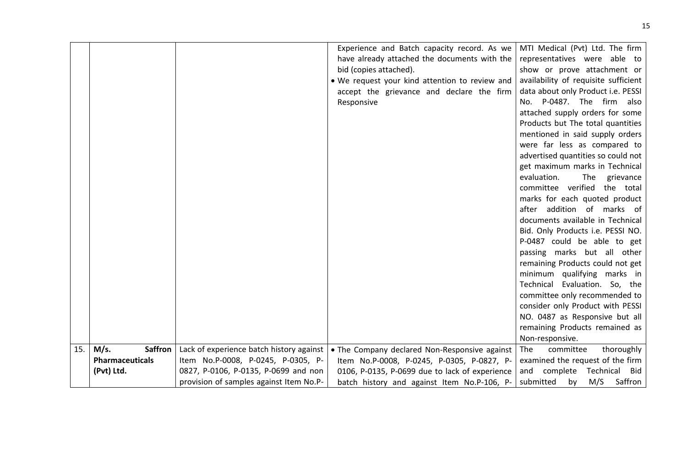|     |                        |                                          | Experience and Batch capacity record. As we    | MTI Medical (Pvt) Ltd. The firm                                |
|-----|------------------------|------------------------------------------|------------------------------------------------|----------------------------------------------------------------|
|     |                        |                                          | have already attached the documents with the   | representatives were able to                                   |
|     |                        |                                          | bid (copies attached).                         | show or prove attachment or                                    |
|     |                        |                                          | . We request your kind attention to review and | availability of requisite sufficient                           |
|     |                        |                                          | accept the grievance and declare the firm      | data about only Product i.e. PESSI                             |
|     |                        |                                          | Responsive                                     | No. P-0487. The firm also                                      |
|     |                        |                                          |                                                | attached supply orders for some                                |
|     |                        |                                          |                                                | Products but The total quantities                              |
|     |                        |                                          |                                                | mentioned in said supply orders                                |
|     |                        |                                          |                                                | were far less as compared to                                   |
|     |                        |                                          |                                                | advertised quantities so could not                             |
|     |                        |                                          |                                                | get maximum marks in Technical                                 |
|     |                        |                                          |                                                | evaluation.<br>The<br>grievance                                |
|     |                        |                                          |                                                | committee verified the total                                   |
|     |                        |                                          |                                                | marks for each quoted product                                  |
|     |                        |                                          |                                                | addition of marks of<br>after                                  |
|     |                        |                                          |                                                | documents available in Technical                               |
|     |                        |                                          |                                                | Bid. Only Products i.e. PESSI NO.                              |
|     |                        |                                          |                                                | P-0487 could be able to get                                    |
|     |                        |                                          |                                                | passing marks but all other                                    |
|     |                        |                                          |                                                | remaining Products could not get                               |
|     |                        |                                          |                                                | minimum qualifying marks in                                    |
|     |                        |                                          |                                                | Technical Evaluation. So, the<br>committee only recommended to |
|     |                        |                                          |                                                | consider only Product with PESSI                               |
|     |                        |                                          |                                                | NO. 0487 as Responsive but all                                 |
|     |                        |                                          |                                                | remaining Products remained as                                 |
|     |                        |                                          |                                                | Non-responsive.                                                |
| 15. | M/s.<br><b>Saffron</b> | Lack of experience batch history against | • The Company declared Non-Responsive against  | The<br>committee<br>thoroughly                                 |
|     | <b>Pharmaceuticals</b> | Item No.P-0008, P-0245, P-0305, P-       | Item No.P-0008, P-0245, P-0305, P-0827, P-     | examined the request of the firm                               |
|     | (Pvt) Ltd.             | 0827, P-0106, P-0135, P-0699 and non     | 0106, P-0135, P-0699 due to lack of experience | complete<br>Technical Bid<br>and                               |
|     |                        | provision of samples against Item No.P-  | batch history and against Item No.P-106, P-    | submitted<br>M/S<br>Saffron<br>by                              |
|     |                        |                                          |                                                |                                                                |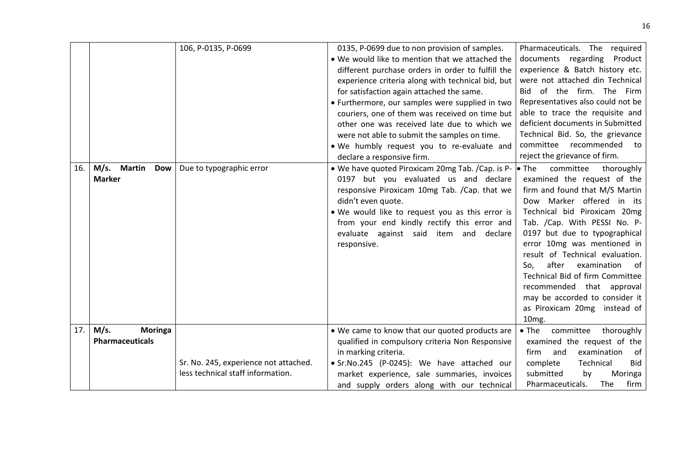| 16. | M/s.<br>Martin<br><b>Dow</b><br><b>Marker</b> | 106, P-0135, P-0699<br>Due to typographic error                            | 0135, P-0699 due to non provision of samples.<br>• We would like to mention that we attached the<br>different purchase orders in order to fulfill the<br>experience criteria along with technical bid, but<br>for satisfaction again attached the same.<br>• Furthermore, our samples were supplied in two<br>couriers, one of them was received on time but<br>other one was received late due to which we<br>were not able to submit the samples on time.<br>. We humbly request you to re-evaluate and<br>declare a responsive firm.<br>• We have quoted Piroxicam 20mg Tab. / Cap. is P-<br>0197 but you evaluated us and declare<br>responsive Piroxicam 10mg Tab. / Cap. that we<br>didn't even quote.<br>. We would like to request you as this error is<br>from your end kindly rectify this error and<br>evaluate against said item and declare<br>responsive. | Pharmaceuticals. The required<br>documents regarding<br>Product<br>experience & Batch history etc.<br>were not attached din Technical<br>Bid of the firm. The Firm<br>Representatives also could not be<br>able to trace the requisite and<br>deficient documents in Submitted<br>Technical Bid. So, the grievance<br>committee recommended<br>to<br>reject the grievance of firm.<br>$\bullet$ The<br>committee<br>thoroughly<br>examined the request of the<br>firm and found that M/S Martin<br>Dow Marker offered in its<br>Technical bid Piroxicam 20mg<br>Tab. /Cap. With PESSI No. P-<br>0197 but due to typographical<br>error 10mg was mentioned in<br>result of Technical evaluation.<br>after<br>examination<br>So,<br>of<br>Technical Bid of firm Committee<br>recommended that approval<br>may be accorded to consider it<br>as Piroxicam 20mg instead of<br>10 <sub>mg</sub> . |
|-----|-----------------------------------------------|----------------------------------------------------------------------------|-------------------------------------------------------------------------------------------------------------------------------------------------------------------------------------------------------------------------------------------------------------------------------------------------------------------------------------------------------------------------------------------------------------------------------------------------------------------------------------------------------------------------------------------------------------------------------------------------------------------------------------------------------------------------------------------------------------------------------------------------------------------------------------------------------------------------------------------------------------------------|----------------------------------------------------------------------------------------------------------------------------------------------------------------------------------------------------------------------------------------------------------------------------------------------------------------------------------------------------------------------------------------------------------------------------------------------------------------------------------------------------------------------------------------------------------------------------------------------------------------------------------------------------------------------------------------------------------------------------------------------------------------------------------------------------------------------------------------------------------------------------------------------|
| 17. | M/s.<br><b>Moringa</b>                        |                                                                            | . We came to know that our quoted products are                                                                                                                                                                                                                                                                                                                                                                                                                                                                                                                                                                                                                                                                                                                                                                                                                          | $\bullet$ The<br>committee<br>thoroughly                                                                                                                                                                                                                                                                                                                                                                                                                                                                                                                                                                                                                                                                                                                                                                                                                                                     |
|     | <b>Pharmaceuticals</b>                        | Sr. No. 245, experience not attached.<br>less technical staff information. | qualified in compulsory criteria Non Responsive<br>in marking criteria.<br>· Sr.No.245 (P-0245): We have attached our<br>market experience, sale summaries, invoices<br>and supply orders along with our technical                                                                                                                                                                                                                                                                                                                                                                                                                                                                                                                                                                                                                                                      | examined the request of the<br>and<br>examination<br>of<br>firm<br>complete<br>Technical<br><b>Bid</b><br>submitted<br>Moringa<br>by<br>firm<br>Pharmaceuticals.<br>The                                                                                                                                                                                                                                                                                                                                                                                                                                                                                                                                                                                                                                                                                                                      |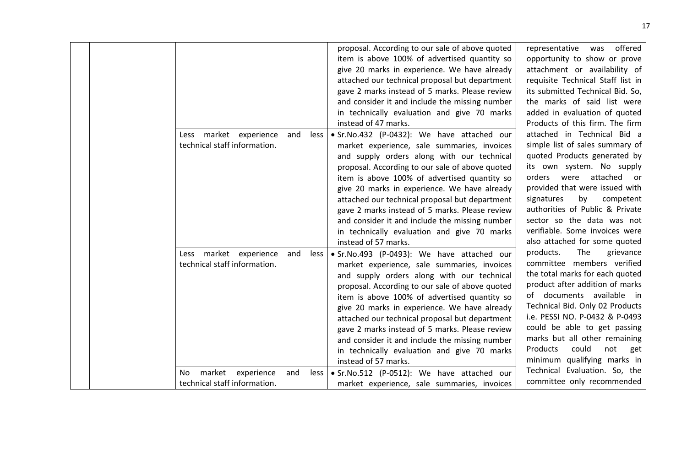| Less market experience<br>and<br>less<br>technical staff information.     | proposal. According to our sale of above quoted<br>item is above 100% of advertised quantity so<br>give 20 marks in experience. We have already<br>attached our technical proposal but department<br>gave 2 marks instead of 5 marks. Please review<br>and consider it and include the missing number<br>in technically evaluation and give 70 marks<br>instead of 47 marks.<br>· Sr.No.432 (P-0432): We have attached our<br>market experience, sale summaries, invoices<br>and supply orders along with our technical<br>proposal. According to our sale of above quoted<br>item is above 100% of advertised quantity so<br>give 20 marks in experience. We have already<br>attached our technical proposal but department<br>gave 2 marks instead of 5 marks. Please review<br>and consider it and include the missing number<br>in technically evaluation and give 70 marks<br>instead of 57 marks. | offered<br>representative was<br>opportunity to show or prove<br>attachment or availability of<br>requisite Technical Staff list in<br>its submitted Technical Bid. So,<br>the marks of said list were<br>added in evaluation of quoted<br>Products of this firm. The firm<br>attached in Technical Bid a<br>simple list of sales summary of<br>quoted Products generated by<br>its own system. No supply<br>orders were<br>attached or<br>provided that were issued with<br>by<br>signatures<br>competent<br>authorities of Public & Private<br>sector so the data was not<br>verifiable. Some invoices were<br>also attached for some quoted |
|---------------------------------------------------------------------------|---------------------------------------------------------------------------------------------------------------------------------------------------------------------------------------------------------------------------------------------------------------------------------------------------------------------------------------------------------------------------------------------------------------------------------------------------------------------------------------------------------------------------------------------------------------------------------------------------------------------------------------------------------------------------------------------------------------------------------------------------------------------------------------------------------------------------------------------------------------------------------------------------------|------------------------------------------------------------------------------------------------------------------------------------------------------------------------------------------------------------------------------------------------------------------------------------------------------------------------------------------------------------------------------------------------------------------------------------------------------------------------------------------------------------------------------------------------------------------------------------------------------------------------------------------------|
| Less market experience<br>and<br>less<br>technical staff information.     | · Sr.No.493 (P-0493): We have attached our<br>market experience, sale summaries, invoices<br>and supply orders along with our technical<br>proposal. According to our sale of above quoted<br>item is above 100% of advertised quantity so<br>give 20 marks in experience. We have already<br>attached our technical proposal but department<br>gave 2 marks instead of 5 marks. Please review<br>and consider it and include the missing number<br>in technically evaluation and give 70 marks<br>instead of 57 marks.                                                                                                                                                                                                                                                                                                                                                                                 | products.<br>The<br>grievance<br>committee members verified<br>the total marks for each quoted<br>product after addition of marks<br>of documents available in<br>Technical Bid. Only 02 Products<br>i.e. PESSI NO. P-0432 & P-0493<br>could be able to get passing<br>marks but all other remaining<br>Products<br>could<br>not<br>get<br>minimum qualifying marks in                                                                                                                                                                                                                                                                         |
| market<br>experience<br>No<br>and<br>less<br>technical staff information. | • Sr.No.512 (P-0512): We have attached our<br>market experience, sale summaries, invoices                                                                                                                                                                                                                                                                                                                                                                                                                                                                                                                                                                                                                                                                                                                                                                                                               | Technical Evaluation. So, the<br>committee only recommended                                                                                                                                                                                                                                                                                                                                                                                                                                                                                                                                                                                    |